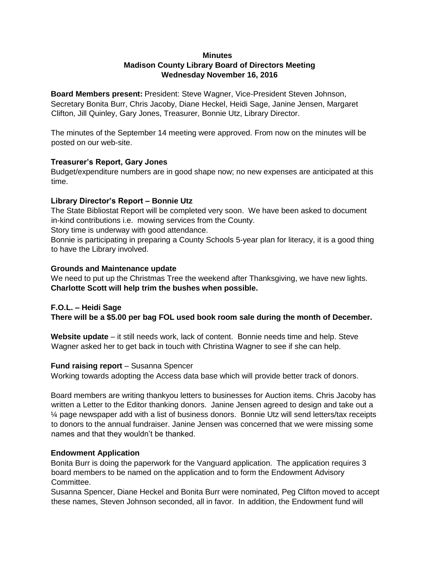#### **Minutes**

## **Madison County Library Board of Directors Meeting Wednesday November 16, 2016**

**Board Members present:** President: Steve Wagner, Vice-President Steven Johnson, Secretary Bonita Burr, Chris Jacoby, Diane Heckel, Heidi Sage, Janine Jensen, Margaret Clifton, Jill Quinley, Gary Jones, Treasurer, Bonnie Utz, Library Director.

The minutes of the September 14 meeting were approved. From now on the minutes will be posted on our web-site.

#### **Treasurer's Report, Gary Jones**

Budget/expenditure numbers are in good shape now; no new expenses are anticipated at this time.

#### **Library Director's Report – Bonnie Utz**

The State Bibliostat Report will be completed very soon. We have been asked to document in-kind contributions i.e. mowing services from the County.

Story time is underway with good attendance.

Bonnie is participating in preparing a County Schools 5-year plan for literacy, it is a good thing to have the Library involved.

#### **Grounds and Maintenance update**

We need to put up the Christmas Tree the weekend after Thanksgiving, we have new lights. **Charlotte Scott will help trim the bushes when possible.**

# **F.O.L. – Heidi Sage There will be a \$5.00 per bag FOL used book room sale during the month of December.**

**Website update** – it still needs work, lack of content. Bonnie needs time and help. Steve Wagner asked her to get back in touch with Christina Wagner to see if she can help.

#### **Fund raising report** – Susanna Spencer

Working towards adopting the Access data base which will provide better track of donors.

Board members are writing thankyou letters to businesses for Auction items. Chris Jacoby has written a Letter to the Editor thanking donors. Janine Jensen agreed to design and take out a ¼ page newspaper add with a list of business donors. Bonnie Utz will send letters/tax receipts to donors to the annual fundraiser. Janine Jensen was concerned that we were missing some names and that they wouldn't be thanked.

### **Endowment Application**

Bonita Burr is doing the paperwork for the Vanguard application. The application requires 3 board members to be named on the application and to form the Endowment Advisory Committee.

Susanna Spencer, Diane Heckel and Bonita Burr were nominated, Peg Clifton moved to accept these names, Steven Johnson seconded, all in favor. In addition, the Endowment fund will